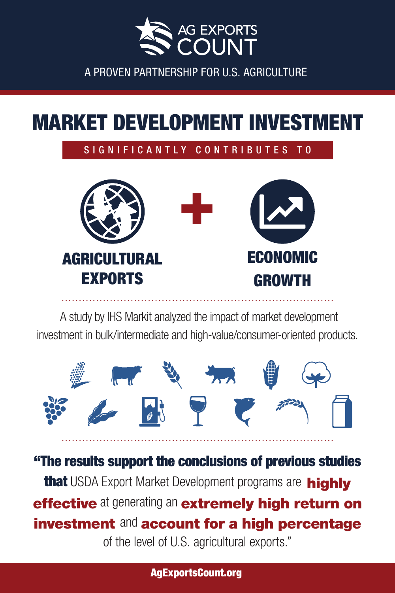

### MARKET DEVELOPMENT INVESTMENT

#### SIGNIFICANTLY CONTRIBUTES TO



A study by IHS Markit analyzed the impact of market development investment in bulk/intermediate and high-value/consumer-oriented products.



"The results support the conclusions of previous studies that USDA Export Market Development programs are highly effective at generating an extremely high return on investment and account for a high percentage of the level of U.S. agricultural exports."

AgExportsCount.org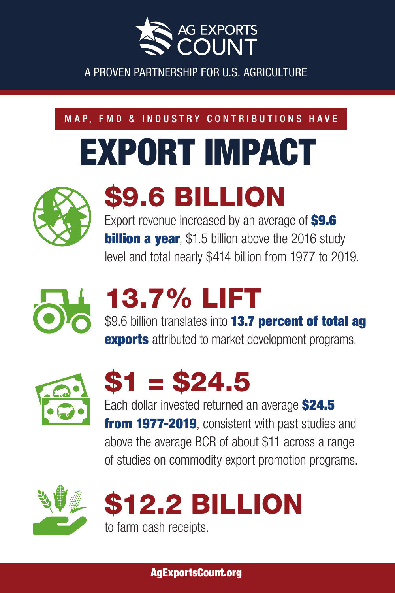

#### MAP, FMD & INDUSTRY CONTRIBUTIONS HAVE

# EXPORT IMPACT



## \$9.6 BILLION

Export revenue increased by an average of **\$9.6 billion a year**, \$1.5 billion above the 2016 study level and total nearly \$414 billion from 1977 to 2019.



## 13.7% LIFT

\$9.6 billion translates into **13.7 percent of total ag exports** attributed to market development programs.





Each dollar invested returned an average **\$24.5 from 1977-2019**, consistent with past studies and above the average BCR of about \$11 across a range of studies on commodity export promotion programs.



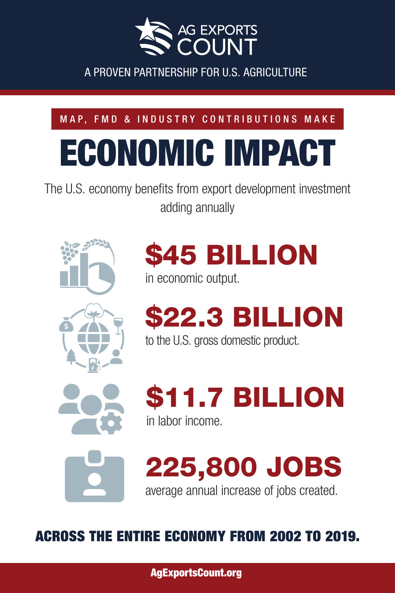

### MAP, FMD & INDUSTRY CONTRIBUTIONS MAKE

# ECONOMIC IMPACT

The U.S. economy benefits from export development investment adding annually





\$45 BILLION

in economic output.

\$22.3 BILLION

to the U.S. gross domestic product.



\$11.7 BILLION in labor income.



225,800 JOBS average annual increase of jobs created.

ACROSS THE ENTIRE ECONOMY FROM 2002 TO 2019.

AgExportsCount.org